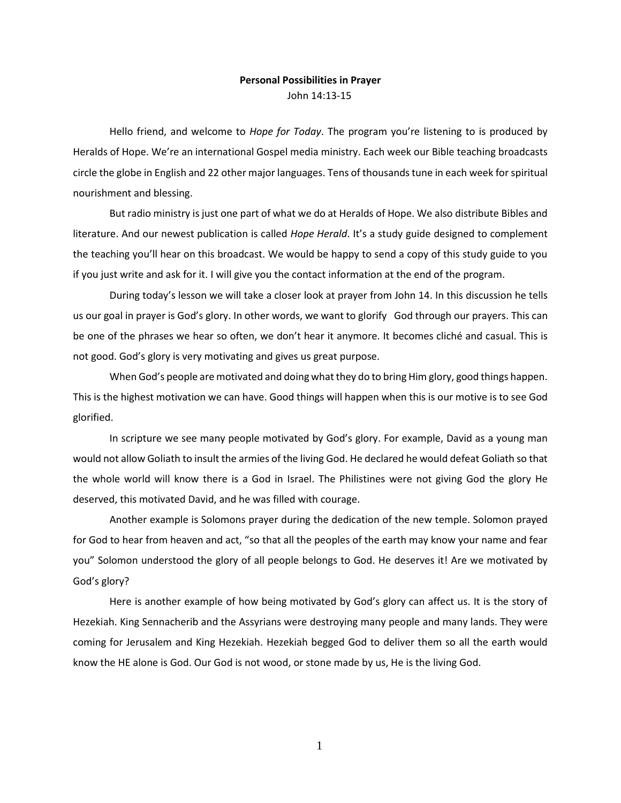## **Personal Possibilities in Prayer** John 14:13-15

Hello friend, and welcome to *Hope for Today*. The program you're listening to is produced by Heralds of Hope. We're an international Gospel media ministry. Each week our Bible teaching broadcasts circle the globe in English and 22 other major languages. Tens of thousands tune in each week for spiritual nourishment and blessing.

But radio ministry is just one part of what we do at Heralds of Hope. We also distribute Bibles and literature. And our newest publication is called *Hope Herald*. It's a study guide designed to complement the teaching you'll hear on this broadcast. We would be happy to send a copy of this study guide to you if you just write and ask for it. I will give you the contact information at the end of the program.

During today's lesson we will take a closer look at prayer from John 14. In this discussion he tells us our goal in prayer is God's glory. In other words, we want to glorify God through our prayers. This can be one of the phrases we hear so often, we don't hear it anymore. It becomes cliché and casual. This is not good. God's glory is very motivating and gives us great purpose.

When God's people are motivated and doing what they do to bring Him glory, good things happen. This is the highest motivation we can have. Good things will happen when this is our motive is to see God glorified.

In scripture we see many people motivated by God's glory. For example, David as a young man would not allow Goliath to insult the armies of the living God. He declared he would defeat Goliath so that the whole world will know there is a God in Israel. The Philistines were not giving God the glory He deserved, this motivated David, and he was filled with courage.

Another example is Solomons prayer during the dedication of the new temple. Solomon prayed for God to hear from heaven and act, "so that all the peoples of the earth may know your name and fear you" Solomon understood the glory of all people belongs to God. He deserves it! Are we motivated by God's glory?

Here is another example of how being motivated by God's glory can affect us. It is the story of Hezekiah. King Sennacherib and the Assyrians were destroying many people and many lands. They were coming for Jerusalem and King Hezekiah. Hezekiah begged God to deliver them so all the earth would know the HE alone is God. Our God is not wood, or stone made by us, He is the living God.

1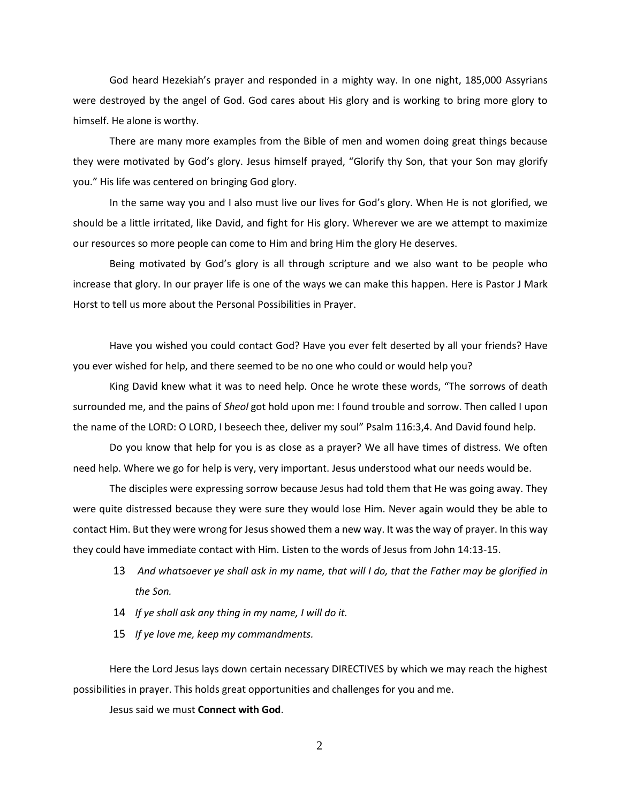God heard Hezekiah's prayer and responded in a mighty way. In one night, 185,000 Assyrians were destroyed by the angel of God. God cares about His glory and is working to bring more glory to himself. He alone is worthy.

There are many more examples from the Bible of men and women doing great things because they were motivated by God's glory. Jesus himself prayed, "Glorify thy Son, that your Son may glorify you." His life was centered on bringing God glory.

In the same way you and I also must live our lives for God's glory. When He is not glorified, we should be a little irritated, like David, and fight for His glory. Wherever we are we attempt to maximize our resources so more people can come to Him and bring Him the glory He deserves.

Being motivated by God's glory is all through scripture and we also want to be people who increase that glory. In our prayer life is one of the ways we can make this happen. Here is Pastor J Mark Horst to tell us more about the Personal Possibilities in Prayer.

Have you wished you could contact God? Have you ever felt deserted by all your friends? Have you ever wished for help, and there seemed to be no one who could or would help you?

King David knew what it was to need help. Once he wrote these words, "The sorrows of death surrounded me, and the pains of *Sheol* got hold upon me: I found trouble and sorrow. Then called I upon the name of the LORD: O LORD, I beseech thee, deliver my soul" Psalm 116:3,4. And David found help.

Do you know that help for you is as close as a prayer? We all have times of distress. We often need help. Where we go for help is very, very important. Jesus understood what our needs would be.

The disciples were expressing sorrow because Jesus had told them that He was going away. They were quite distressed because they were sure they would lose Him. Never again would they be able to contact Him. But they were wrong for Jesus showed them a new way. It was the way of prayer. In this way they could have immediate contact with Him. Listen to the words of Jesus from John 14:13-15.

- 13 *And whatsoever ye shall ask in my name, that will I do, that the Father may be glorified in the Son.*
- 14 *If ye shall ask any thing in my name, I will do it.*
- 15 *If ye love me, keep my commandments.*

Here the Lord Jesus lays down certain necessary DIRECTIVES by which we may reach the highest possibilities in prayer. This holds great opportunities and challenges for you and me.

Jesus said we must **Connect with God**.

2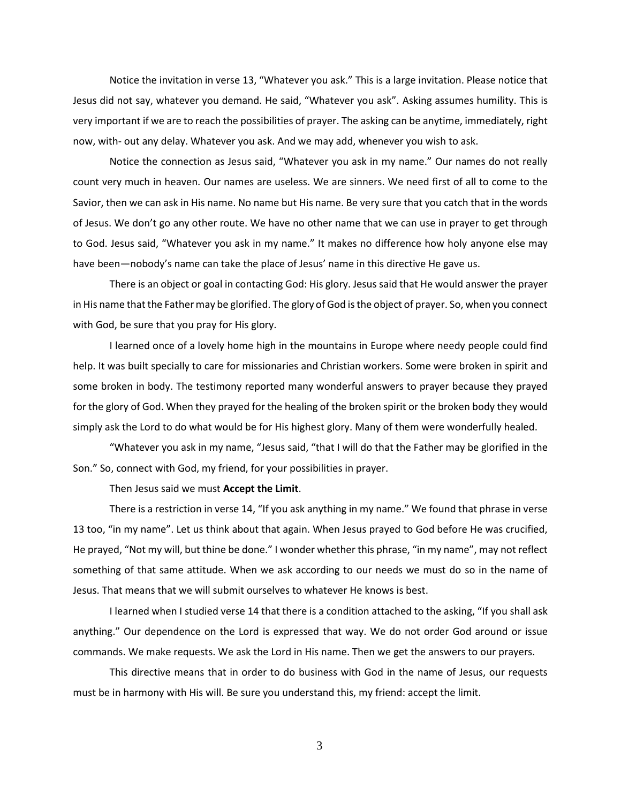Notice the invitation in verse 13, "Whatever you ask." This is a large invitation. Please notice that Jesus did not say, whatever you demand. He said, "Whatever you ask". Asking assumes humility. This is very important if we are to reach the possibilities of prayer. The asking can be anytime, immediately, right now, with- out any delay. Whatever you ask. And we may add, whenever you wish to ask.

Notice the connection as Jesus said, "Whatever you ask in my name." Our names do not really count very much in heaven. Our names are useless. We are sinners. We need first of all to come to the Savior, then we can ask in His name. No name but His name. Be very sure that you catch that in the words of Jesus. We don't go any other route. We have no other name that we can use in prayer to get through to God. Jesus said, "Whatever you ask in my name." It makes no difference how holy anyone else may have been—nobody's name can take the place of Jesus' name in this directive He gave us.

There is an object or goal in contacting God: His glory. Jesus said that He would answer the prayer in His name that the Father may be glorified. The glory of God is the object of prayer. So, when you connect with God, be sure that you pray for His glory.

I learned once of a lovely home high in the mountains in Europe where needy people could find help. It was built specially to care for missionaries and Christian workers. Some were broken in spirit and some broken in body. The testimony reported many wonderful answers to prayer because they prayed for the glory of God. When they prayed for the healing of the broken spirit or the broken body they would simply ask the Lord to do what would be for His highest glory. Many of them were wonderfully healed.

"Whatever you ask in my name, "Jesus said, "that I will do that the Father may be glorified in the Son." So, connect with God, my friend, for your possibilities in prayer.

Then Jesus said we must **Accept the Limit**.

There is a restriction in verse 14, "If you ask anything in my name." We found that phrase in verse 13 too, "in my name". Let us think about that again. When Jesus prayed to God before He was crucified, He prayed, "Not my will, but thine be done." I wonder whether this phrase, "in my name", may not reflect something of that same attitude. When we ask according to our needs we must do so in the name of Jesus. That means that we will submit ourselves to whatever He knows is best.

I learned when I studied verse 14 that there is a condition attached to the asking, "If you shall ask anything." Our dependence on the Lord is expressed that way. We do not order God around or issue commands. We make requests. We ask the Lord in His name. Then we get the answers to our prayers.

This directive means that in order to do business with God in the name of Jesus, our requests must be in harmony with His will. Be sure you understand this, my friend: accept the limit.

3